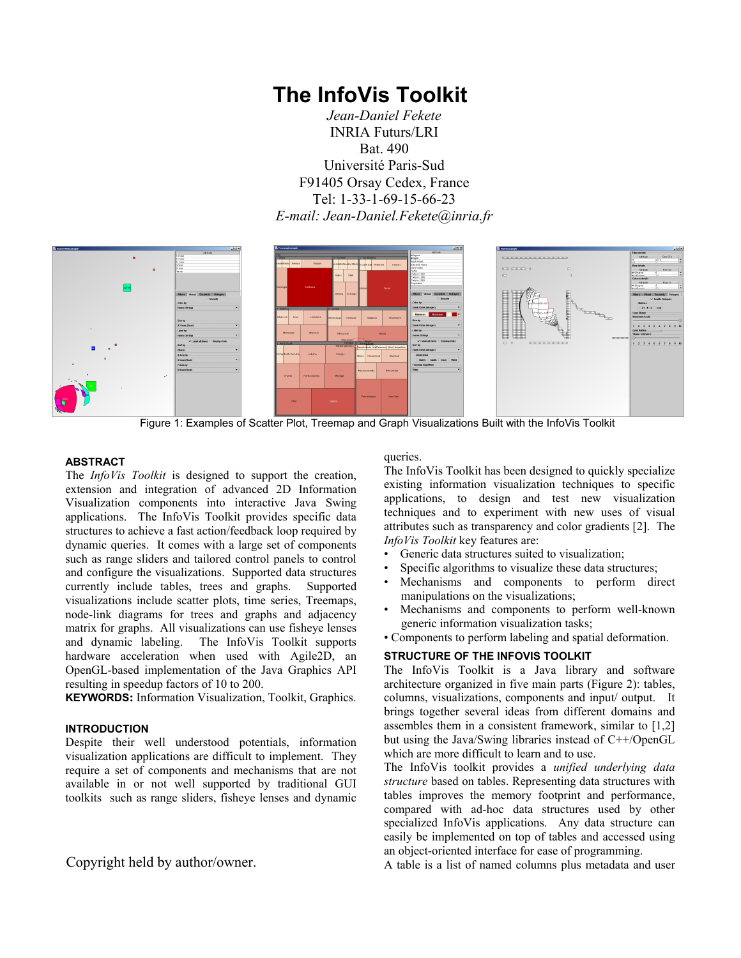# **The InfoVis Toolkit**

*Jean-Daniel Fekete*  INRIA Futurs/LRI Bat. 490 Université Paris-Sud F91405 Orsay Cedex, France Tel: 1-33-1-69-15-66-23 *E-mail: Jean-Daniel.Fekete@inria.fr* 



Figure 1: Examples of Scatter Plot, Treemap and Graph Visualizations Built with the InfoVis Toolkit

### **ABSTRACT**

The *InfoVis Toolkit* is designed to support the creation, extension and integration of advanced 2D Information Visualization components into interactive Java Swing applications. The InfoVis Toolkit provides specific data structures to achieve a fast action/feedback loop required by dynamic queries. It comes with a large set of components such as range sliders and tailored control panels to control and configure the visualizations. Supported data structures currently include tables, trees and graphs. Supported visualizations include scatter plots, time series, Treemaps, node-link diagrams for trees and graphs and adjacency matrix for graphs. All visualizations can use fisheye lenses and dynamic labeling. The InfoVis Toolkit supports The InfoVis Toolkit supports hardware acceleration when used with Agile2D, an OpenGL-based implementation of the Java Graphics API resulting in speedup factors of 10 to 200.

**KEYWORDS:** Information Visualization, Toolkit, Graphics.

## **INTRODUCTION**

Despite their well understood potentials, information visualization applications are difficult to implement. They require a set of components and mechanisms that are not available in or not well supported by traditional GUI toolkits such as range sliders, fisheye lenses and dynamic

Copyright held by author/owner.

#### queries.

The InfoVis Toolkit has been designed to quickly specialize existing information visualization techniques to specific applications, to design and test new visualization techniques and to experiment with new uses of visual attributes such as transparency and color gradients [2]. The *InfoVis Toolkit* key features are:

- Generic data structures suited to visualization;
- Specific algorithms to visualize these data structures;
- Mechanisms and components to perform direct manipulations on the visualizations;
- Mechanisms and components to perform well-known generic information visualization tasks;

• Components to perform labeling and spatial deformation.

## **STRUCTURE OF THE INFOVIS TOOLKIT**

The InfoVis Toolkit is a Java library and software architecture organized in five main parts (Figure 2): tables, columns, visualizations, components and input/ output. It brings together several ideas from different domains and assembles them in a consistent framework, similar to [1,2] but using the Java/Swing libraries instead of C++/OpenGL which are more difficult to learn and to use.

The InfoVis toolkit provides a *unified underlying data structure* based on tables. Representing data structures with tables improves the memory footprint and performance, compared with ad-hoc data structures used by other specialized InfoVis applications. Any data structure can easily be implemented on top of tables and accessed using an object-oriented interface for ease of programming.

A table is a list of named columns plus metadata and user